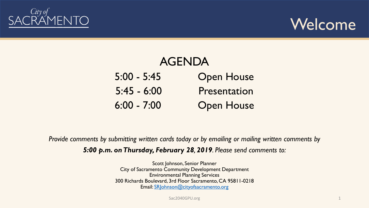



| <b>AGENDA</b> |                   |
|---------------|-------------------|
| $5:00 - 5:45$ | <b>Open House</b> |
| $5:45 - 6:00$ | Presentation      |
| $6:00 - 7:00$ | <b>Open House</b> |

*Provide comments by submitting written cards today or by emailing or mailing written comments by 5:00 p.m. on Thursday, February 28, 2019. Please send comments to:*

> Scott Johnson, Senior Planner City of Sacramento Community Development Department Environmental Planning Services 300 Richards Boulevard, 3rd Floor Sacramento, CA 95811-0218 Email: [SRJohnson@cityofsacramento.org](mailto:SRJohnson@cityofsacramento.org)

> > Sac2040GPU.org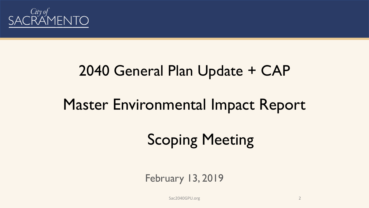

# 2040 General Plan Update + CAP Master Environmental Impact Report

### Scoping Meeting

#### February 13, 2019

Sac2040GPU.org 2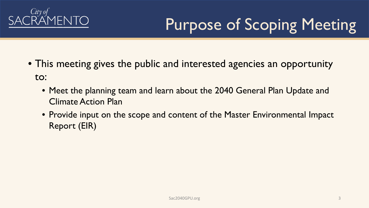

## Purpose of Scoping Meeting

- This meeting gives the public and interested agencies an opportunity to:
	- Meet the planning team and learn about the 2040 General Plan Update and Climate Action Plan
	- Provide input on the scope and content of the Master Environmental Impact Report (EIR)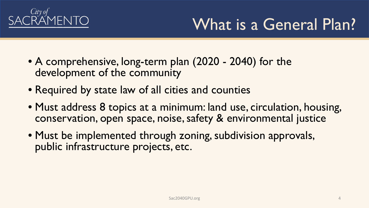

### What is a General Plan?

- A comprehensive, long-term plan (2020 2040) for the development of the community
- Required by state law of all cities and counties
- Must address 8 topics at a minimum: land use, circulation, housing, conservation, open space, noise, safety & environmental justice
- Must be implemented through zoning, subdivision approvals, public infrastructure projects, etc.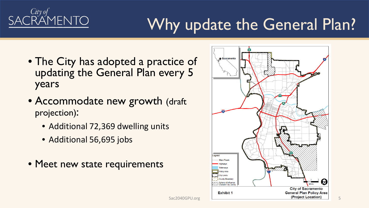

### Why update the General Plan?

- The City has adopted a practice of updating the General Plan every 5 years
- Accommodate new growth (draft projection):
	- Additional 72,369 dwelling units
	- Additional 56,695 jobs
- Meet new state requirements

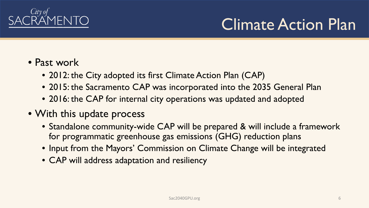

### Climate Action Plan

- Past work
	- 2012: the City adopted its first Climate Action Plan (CAP)
	- 2015: the Sacramento CAP was incorporated into the 2035 General Plan
	- 2016: the CAP for internal city operations was updated and adopted
- With this update process
	- Standalone community-wide CAP will be prepared & will include a framework for programmatic greenhouse gas emissions (GHG) reduction plans
	- Input from the Mayors' Commission on Climate Change will be integrated
	- CAP will address adaptation and resiliency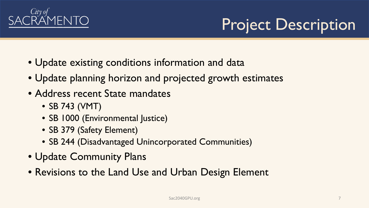

#### Project Description

- Update existing conditions information and data
- Update planning horizon and projected growth estimates
- Address recent State mandates
	- SB 743 (VMT)
	- SB 1000 (Environmental Justice)
	- SB 379 (Safety Element)
	- SB 244 (Disadvantaged Unincorporated Communities)
- Update Community Plans
- Revisions to the Land Use and Urban Design Element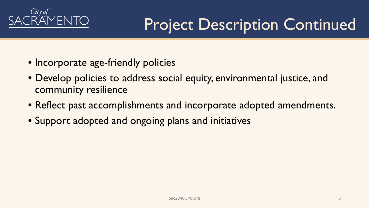

### Project Description Continued

- Incorporate age-friendly policies
- Develop policies to address social equity, environmental justice, and community resilience
- Reflect past accomplishments and incorporate adopted amendments.
- Support adopted and ongoing plans and initiatives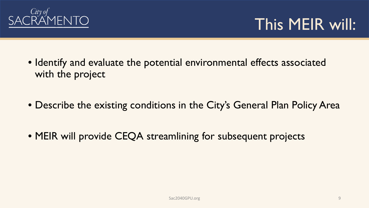

#### This MEIR will:

- Identify and evaluate the potential environmental effects associated with the project
- Describe the existing conditions in the City's General Plan Policy Area
- MEIR will provide CEQA streamlining for subsequent projects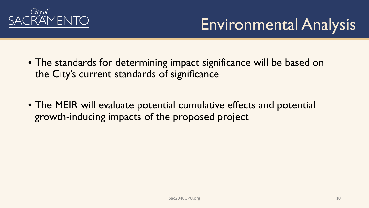

### Environmental Analysis

- The standards for determining impact significance will be based on the City's current standards of significance
- The MEIR will evaluate potential cumulative effects and potential growth-inducing impacts of the proposed project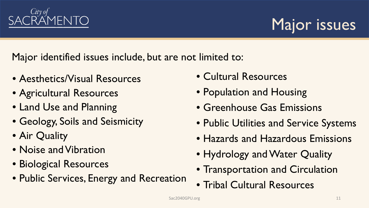

Major issues

Major identified issues include, but are not limited to:

- Aesthetics/Visual Resources
- Agricultural Resources
- Land Use and Planning
- Geology, Soils and Seismicity
- Air Quality
- Noise and Vibration
- Biological Resources
- Public Services, Energy and Recreation
- Cultural Resources
- Population and Housing
- Greenhouse Gas Emissions
- Public Utilities and Service Systems
- Hazards and Hazardous Emissions
- Hydrology and Water Quality
- Transportation and Circulation
- Tribal Cultural Resources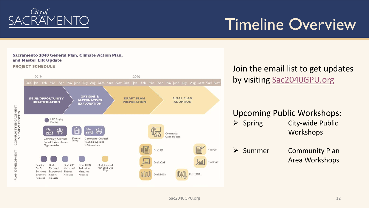

#### Timeline Overview

#### Sacramento 2040 General Plan, Climate Action Plan, and Master EIR Update

**PROJECT SCHEDULE** 



#### Join the email list to get updates by visiting [Sac2040GPU.org](http://www.cityofsacramento.org/Community-Development/Planning/Major-Projects/General-Plan)

#### Upcoming Public Workshops:

- $\triangleright$  Spring City-wide Public Workshops
- ▶ Summer Community Plan Area Workshops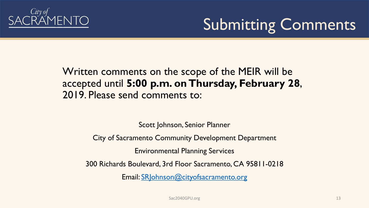

#### Submitting Comments

Written comments on the scope of the MEIR will be accepted until **5:00 p.m. on Thursday, February 28**, 2019. Please send comments to:

Scott Johnson, Senior Planner

City of Sacramento Community Development Department

Environmental Planning Services

300 Richards Boulevard, 3rd Floor Sacramento, CA 95811-0218

Email: [SRJohnson@cityofsacramento.org](mailto:SRJohnson@cityofsacramento.org)